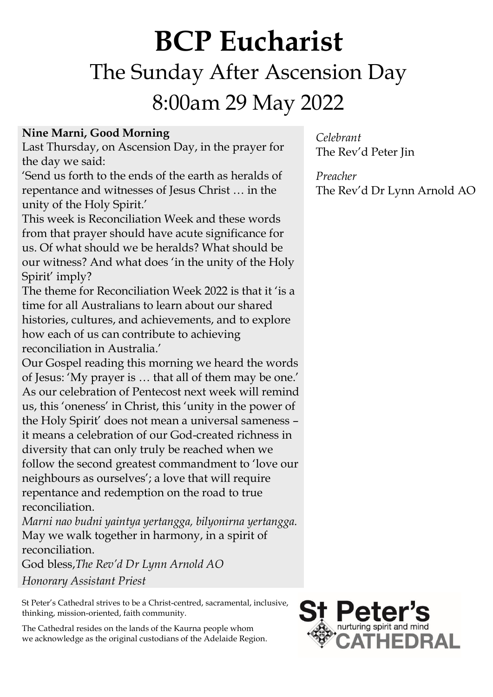# **BCP Eucharist** The Sunday After Ascension Day 8:00am 29 May 2022

#### **Nine Marni, Good Morning**

Last Thursday, on Ascension Day, in the prayer for the day we said:

'Send us forth to the ends of the earth as heralds of repentance and witnesses of Jesus Christ … in the unity of the Holy Spirit.'

This week is Reconciliation Week and these words from that prayer should have acute significance for us. Of what should we be heralds? What should be our witness? And what does 'in the unity of the Holy Spirit' imply?

The theme for Reconciliation Week 2022 is that it 'is a time for all Australians to learn about our shared histories, cultures, and achievements, and to explore how each of us can contribute to achieving reconciliation in Australia.'

Our Gospel reading this morning we heard the words of Jesus: 'My prayer is … that all of them may be one.' As our celebration of Pentecost next week will remind us, this 'oneness' in Christ, this 'unity in the power of the Holy Spirit' does not mean a universal sameness – it means a celebration of our God-created richness in diversity that can only truly be reached when we follow the second greatest commandment to 'love our neighbours as ourselves'; a love that will require repentance and redemption on the road to true reconciliation.

*Marni nao budni yaintya yertangga, bilyonirna yertangga.* May we walk together in harmony, in a spirit of reconciliation.

God bless,*The Rev'd Dr Lynn Arnold AO Honorary Assistant Priest*

St Peter's Cathedral strives to be a Christ-centred, sacramental, inclusive, thinking, mission-oriented, faith community.

The Cathedral resides on the lands of the Kaurna people whom we acknowledge as the original custodians of the Adelaide Region. *Celebrant* The Rev'd Peter Jin

*Preacher* The Rev'd Dr Lynn Arnold AO

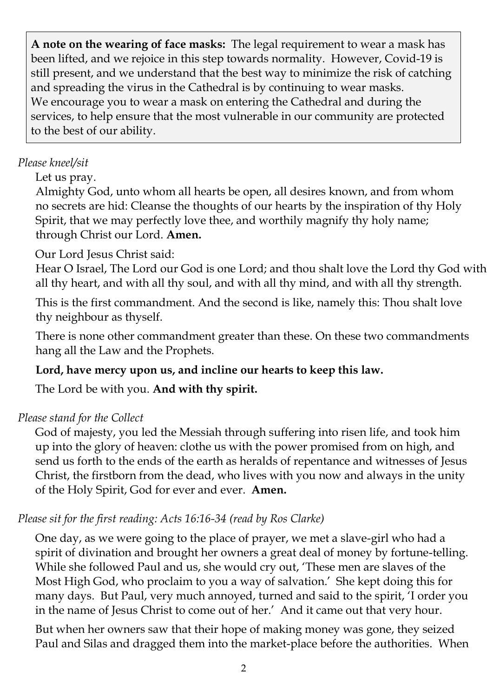**A note on the wearing of face masks:** The legal requirement to wear a mask has been lifted, and we rejoice in this step towards normality. However, Covid-19 is still present, and we understand that the best way to minimize the risk of catching and spreading the virus in the Cathedral is by continuing to wear masks. We encourage you to wear a mask on entering the Cathedral and during the services, to help ensure that the most vulnerable in our community are protected to the best of our ability.

# *Please kneel/sit*

Let us pray.

Almighty God, unto whom all hearts be open, all desires known, and from whom no secrets are hid: Cleanse the thoughts of our hearts by the inspiration of thy Holy Spirit, that we may perfectly love thee, and worthily magnify thy holy name; through Christ our Lord. **Amen.**

# Our Lord Jesus Christ said:

Hear O Israel, The Lord our God is one Lord; and thou shalt love the Lord thy God with all thy heart, and with all thy soul, and with all thy mind, and with all thy strength.

This is the first commandment. And the second is like, namely this: Thou shalt love thy neighbour as thyself.

There is none other commandment greater than these. On these two commandments hang all the Law and the Prophets.

# **Lord, have mercy upon us, and incline our hearts to keep this law.**

The Lord be with you. **And with thy spirit.**

# *Please stand for the Collect*

God of majesty, you led the Messiah through suffering into risen life, and took him up into the glory of heaven: clothe us with the power promised from on high, and send us forth to the ends of the earth as heralds of repentance and witnesses of Jesus Christ, the firstborn from the dead, who lives with you now and always in the unity of the Holy Spirit, God for ever and ever. **Amen.**

# *Please sit for the first reading: Acts 16:16-34 (read by Ros Clarke)*

One day, as we were going to the place of prayer, we met a slave-girl who had a spirit of divination and brought her owners a great deal of money by fortune-telling. While she followed Paul and us, she would cry out, 'These men are slaves of the Most High God, who proclaim to you a way of salvation.' She kept doing this for many days. But Paul, very much annoyed, turned and said to the spirit, 'I order you in the name of Jesus Christ to come out of her.' And it came out that very hour.

But when her owners saw that their hope of making money was gone, they seized Paul and Silas and dragged them into the market-place before the authorities. When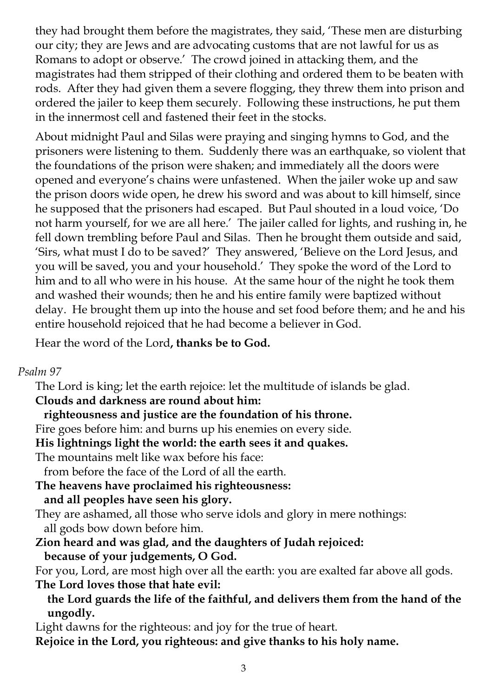they had brought them before the magistrates, they said, 'These men are disturbing our city; they are Jews and are advocating customs that are not lawful for us as Romans to adopt or observe.' The crowd joined in attacking them, and the magistrates had them stripped of their clothing and ordered them to be beaten with rods. After they had given them a severe flogging, they threw them into prison and ordered the jailer to keep them securely. Following these instructions, he put them in the innermost cell and fastened their feet in the stocks.

About midnight Paul and Silas were praying and singing hymns to God, and the prisoners were listening to them. Suddenly there was an earthquake, so violent that the foundations of the prison were shaken; and immediately all the doors were opened and everyone's chains were unfastened. When the jailer woke up and saw the prison doors wide open, he drew his sword and was about to kill himself, since he supposed that the prisoners had escaped. But Paul shouted in a loud voice, 'Do not harm yourself, for we are all here.' The jailer called for lights, and rushing in, he fell down trembling before Paul and Silas. Then he brought them outside and said, 'Sirs, what must I do to be saved?' They answered, 'Believe on the Lord Jesus, and you will be saved, you and your household.' They spoke the word of the Lord to him and to all who were in his house. At the same hour of the night he took them and washed their wounds; then he and his entire family were baptized without delay. He brought them up into the house and set food before them; and he and his entire household rejoiced that he had become a believer in God.

Hear the word of the Lord**, thanks be to God.**

# *Psalm 97*

The Lord is king; let the earth rejoice: let the multitude of islands be glad.

# **Clouds and darkness are round about him:**

- **righteousness and justice are the foundation of his throne.**
- Fire goes before him: and burns up his enemies on every side.
- **His lightnings light the world: the earth sees it and quakes.**

The mountains melt like wax before his face:

from before the face of the Lord of all the earth.

- **The heavens have proclaimed his righteousness:**
- **and all peoples have seen his glory.**

They are ashamed, all those who serve idols and glory in mere nothings: all gods bow down before him.

**Zion heard and was glad, and the daughters of Judah rejoiced: because of your judgements, O God.**

For you, Lord, are most high over all the earth: you are exalted far above all gods.

**The Lord loves those that hate evil:**

**the Lord guards the life of the faithful, and delivers them from the hand of the ungodly.**

Light dawns for the righteous: and joy for the true of heart.

**Rejoice in the Lord, you righteous: and give thanks to his holy name.**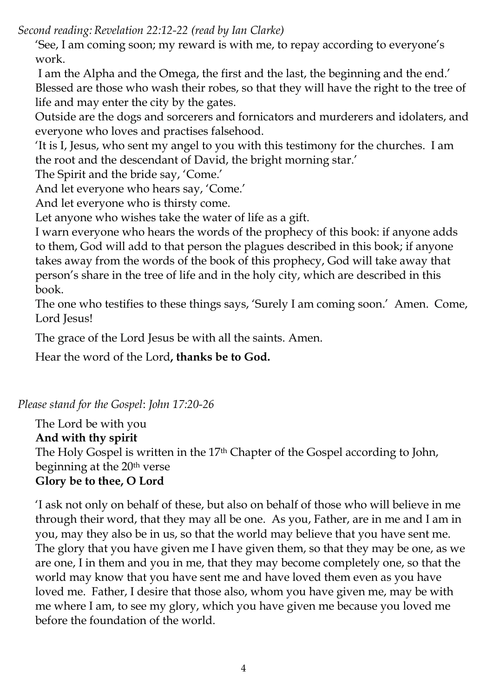*Second reading: Revelation 22:12-22 (read by Ian Clarke)*

'See, I am coming soon; my reward is with me, to repay according to everyone's work.

I am the Alpha and the Omega, the first and the last, the beginning and the end.' Blessed are those who wash their robes, so that they will have the right to the tree of life and may enter the city by the gates.

Outside are the dogs and sorcerers and fornicators and murderers and idolaters, and everyone who loves and practises falsehood.

'It is I, Jesus, who sent my angel to you with this testimony for the churches. I am the root and the descendant of David, the bright morning star.'

The Spirit and the bride say, 'Come.'

And let everyone who hears say, 'Come.'

And let everyone who is thirsty come.

Let anyone who wishes take the water of life as a gift.

I warn everyone who hears the words of the prophecy of this book: if anyone adds to them, God will add to that person the plagues described in this book; if anyone takes away from the words of the book of this prophecy, God will take away that person's share in the tree of life and in the holy city, which are described in this book.

The one who testifies to these things says, 'Surely I am coming soon.' Amen. Come, Lord Jesus!

The grace of the Lord Jesus be with all the saints. Amen.

Hear the word of the Lord**, thanks be to God.**

*Please stand for the Gospel*: *John 17:20-26*

The Lord be with you **And with thy spirit** The Holy Gospel is written in the 17<sup>th</sup> Chapter of the Gospel according to John, beginning at the 20th verse

# **Glory be to thee, O Lord**

'I ask not only on behalf of these, but also on behalf of those who will believe in me through their word, that they may all be one. As you, Father, are in me and I am in you, may they also be in us, so that the world may believe that you have sent me. The glory that you have given me I have given them, so that they may be one, as we are one, I in them and you in me, that they may become completely one, so that the world may know that you have sent me and have loved them even as you have loved me. Father, I desire that those also, whom you have given me, may be with me where I am, to see my glory, which you have given me because you loved me before the foundation of the world.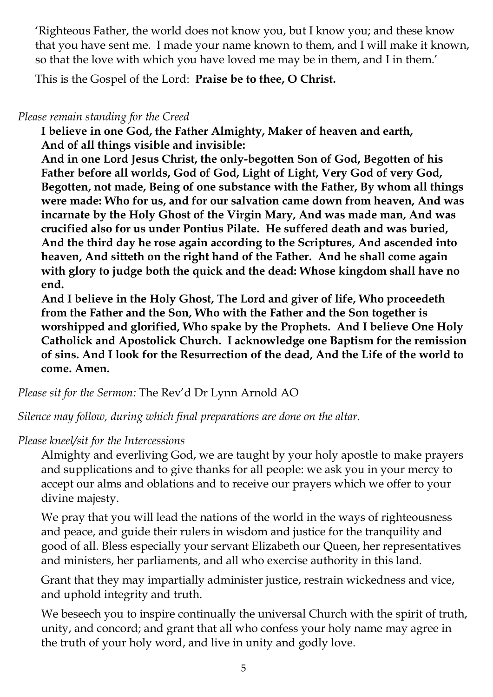'Righteous Father, the world does not know you, but I know you; and these know that you have sent me. I made your name known to them, and I will make it known, so that the love with which you have loved me may be in them, and I in them.'

This is the Gospel of the Lord: **Praise be to thee, O Christ.**

#### *Please remain standing for the Creed*

**I believe in one God, the Father Almighty, Maker of heaven and earth, And of all things visible and invisible:**

**And in one Lord Jesus Christ, the only-begotten Son of God, Begotten of his Father before all worlds, God of God, Light of Light, Very God of very God, Begotten, not made, Being of one substance with the Father, By whom all things were made: Who for us, and for our salvation came down from heaven, And was incarnate by the Holy Ghost of the Virgin Mary, And was made man, And was crucified also for us under Pontius Pilate. He suffered death and was buried, And the third day he rose again according to the Scriptures, And ascended into heaven, And sitteth on the right hand of the Father. And he shall come again with glory to judge both the quick and the dead: Whose kingdom shall have no end.** 

**And I believe in the Holy Ghost, The Lord and giver of life, Who proceedeth from the Father and the Son, Who with the Father and the Son together is worshipped and glorified, Who spake by the Prophets. And I believe One Holy Catholick and Apostolick Church. I acknowledge one Baptism for the remission of sins. And I look for the Resurrection of the dead, And the Life of the world to come. Amen.**

*Please sit for the Sermon:* The Rev'd Dr Lynn Arnold AO

*Silence may follow, during which final preparations are done on the altar.*

#### *Please kneel/sit for the Intercessions*

Almighty and everliving God, we are taught by your holy apostle to make prayers and supplications and to give thanks for all people: we ask you in your mercy to accept our alms and oblations and to receive our prayers which we offer to your divine majesty.

We pray that you will lead the nations of the world in the ways of righteousness and peace, and guide their rulers in wisdom and justice for the tranquility and good of all. Bless especially your servant Elizabeth our Queen, her representatives and ministers, her parliaments, and all who exercise authority in this land.

Grant that they may impartially administer justice, restrain wickedness and vice, and uphold integrity and truth.

We beseech you to inspire continually the universal Church with the spirit of truth, unity, and concord; and grant that all who confess your holy name may agree in the truth of your holy word, and live in unity and godly love.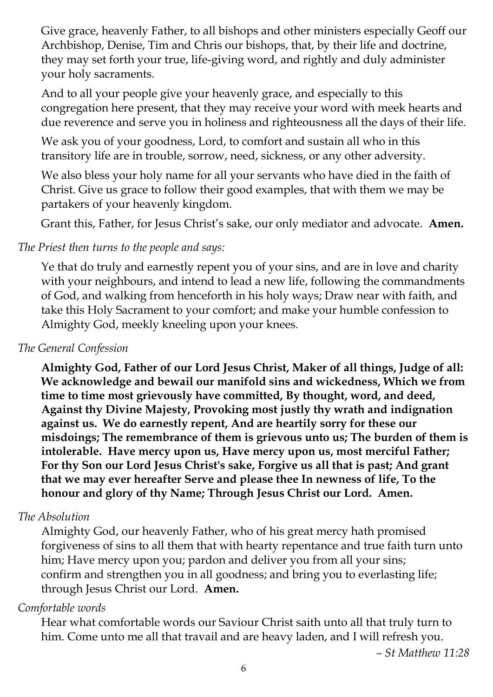Give grace, heavenly Father, to all bishops and other ministers especially Geoff our Archbishop, Denise, Tim and Chris our bishops, that, by their life and doctrine, they may set forth your true, life-giving word, and rightly and duly administer your holy sacraments.

And to all your people give your heavenly grace, and especially to this congregation here present, that they may receive your word with meek hearts and due reverence and serve you in holiness and righteousness all the days of their life.

We ask you of your goodness, Lord, to comfort and sustain all who in this transitory life are in trouble, sorrow, need, sickness, or any other adversity.

We also bless your holy name for all your servants who have died in the faith of Christ. Give us grace to follow their good examples, that with them we may be partakers of your heavenly kingdom.

Grant this, Father, for Jesus Christ's sake, our only mediator and advocate. **Amen.**

#### *The Priest then turns to the people and says:*

Ye that do truly and earnestly repent you of your sins, and are in love and charity with your neighbours, and intend to lead a new life, following the commandments of God, and walking from henceforth in his holy ways; Draw near with faith, and take this Holy Sacrament to your comfort; and make your humble confession to Almighty God, meekly kneeling upon your knees.

#### *The General Confession*

**Almighty God, Father of our Lord Jesus Christ, Maker of all things, Judge of all: We acknowledge and bewail our manifold sins and wickedness, Which we from time to time most grievously have committed, By thought, word, and deed, Against thy Divine Majesty, Provoking most justly thy wrath and indignation against us. We do earnestly repent, And are heartily sorry for these our misdoings; The remembrance of them is grievous unto us; The burden of them is intolerable. Have mercy upon us, Have mercy upon us, most merciful Father; For thy Son our Lord Jesus Christ's sake, Forgive us all that is past; And grant that we may ever hereafter Serve and please thee In newness of life, To the honour and glory of thy Name; Through Jesus Christ our Lord. Amen.**

#### *The Absolution*

Almighty God, our heavenly Father, who of his great mercy hath promised forgiveness of sins to all them that with hearty repentance and true faith turn unto him; Have mercy upon you; pardon and deliver you from all your sins; confirm and strengthen you in all goodness; and bring you to everlasting life; through Jesus Christ our Lord. **Amen.**

#### *Comfortable words*

Hear what comfortable words our Saviour Christ saith unto all that truly turn to him. Come unto me all that travail and are heavy laden, and I will refresh you.

*– St Matthew 11:28*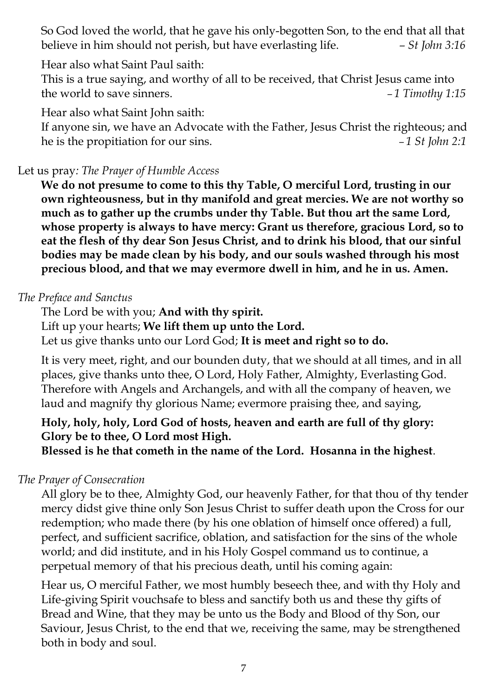So God loved the world, that he gave his only-begotten Son, to the end that all that believe in him should not perish, but have everlasting life. *– St John 3:16*

Hear also what Saint Paul saith:

This is a true saying, and worthy of all to be received, that Christ Jesus came into the world to save sinners. *– 1 Timothy 1:15*

Hear also what Saint John saith:

If anyone sin, we have an Advocate with the Father, Jesus Christ the righteous; and he is the propitiation for our sins. *– 1 St John 2:1*

Let us pray*: The Prayer of Humble Access*

**We do not presume to come to this thy Table, O merciful Lord, trusting in our own righteousness, but in thy manifold and great mercies. We are not worthy so much as to gather up the crumbs under thy Table. But thou art the same Lord, whose property is always to have mercy: Grant us therefore, gracious Lord, so to eat the flesh of thy dear Son Jesus Christ, and to drink his blood, that our sinful bodies may be made clean by his body, and our souls washed through his most precious blood, and that we may evermore dwell in him, and he in us. Amen.**

#### *The Preface and Sanctus*

The Lord be with you; **And with thy spirit.** Lift up your hearts; **We lift them up unto the Lord.** Let us give thanks unto our Lord God; **It is meet and right so to do.**

It is very meet, right, and our bounden duty, that we should at all times, and in all places, give thanks unto thee, O Lord, Holy Father, Almighty, Everlasting God. Therefore with Angels and Archangels, and with all the company of heaven, we laud and magnify thy glorious Name; evermore praising thee, and saying,

## **Holy, holy, holy, Lord God of hosts, heaven and earth are full of thy glory: Glory be to thee, O Lord most High.**

**Blessed is he that cometh in the name of the Lord. Hosanna in the highest**.

*The Prayer of Consecration* 

All glory be to thee, Almighty God, our heavenly Father, for that thou of thy tender mercy didst give thine only Son Jesus Christ to suffer death upon the Cross for our redemption; who made there (by his one oblation of himself once offered) a full, perfect, and sufficient sacrifice, oblation, and satisfaction for the sins of the whole world; and did institute, and in his Holy Gospel command us to continue, a perpetual memory of that his precious death, until his coming again:

Hear us, O merciful Father, we most humbly beseech thee, and with thy Holy and Life-giving Spirit vouchsafe to bless and sanctify both us and these thy gifts of Bread and Wine, that they may be unto us the Body and Blood of thy Son, our Saviour, Jesus Christ, to the end that we, receiving the same, may be strengthened both in body and soul.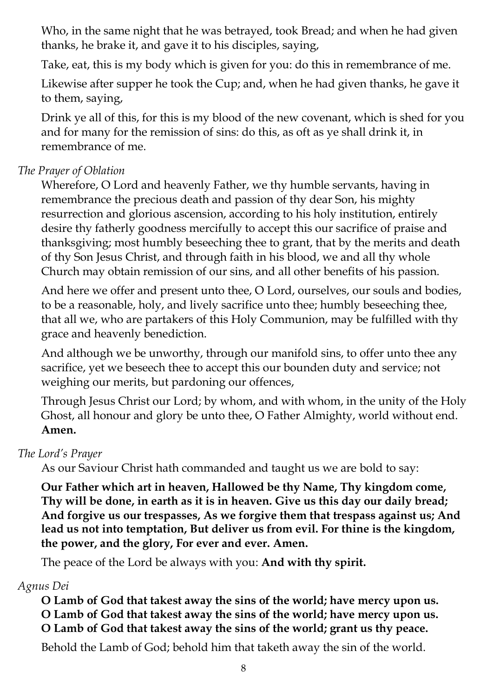Who, in the same night that he was betrayed, took Bread; and when he had given thanks, he brake it, and gave it to his disciples, saying,

Take, eat, this is my body which is given for you: do this in remembrance of me.

Likewise after supper he took the Cup; and, when he had given thanks, he gave it to them, saying,

Drink ye all of this, for this is my blood of the new covenant, which is shed for you and for many for the remission of sins: do this, as oft as ye shall drink it, in remembrance of me.

# *The Prayer of Oblation*

Wherefore, O Lord and heavenly Father, we thy humble servants, having in remembrance the precious death and passion of thy dear Son, his mighty resurrection and glorious ascension, according to his holy institution, entirely desire thy fatherly goodness mercifully to accept this our sacrifice of praise and thanksgiving; most humbly beseeching thee to grant, that by the merits and death of thy Son Jesus Christ, and through faith in his blood, we and all thy whole Church may obtain remission of our sins, and all other benefits of his passion.

And here we offer and present unto thee, O Lord, ourselves, our souls and bodies, to be a reasonable, holy, and lively sacrifice unto thee; humbly beseeching thee, that all we, who are partakers of this Holy Communion, may be fulfilled with thy grace and heavenly benediction.

And although we be unworthy, through our manifold sins, to offer unto thee any sacrifice, yet we beseech thee to accept this our bounden duty and service; not weighing our merits, but pardoning our offences,

Through Jesus Christ our Lord; by whom, and with whom, in the unity of the Holy Ghost, all honour and glory be unto thee, O Father Almighty, world without end. **Amen.**

#### *The Lord's Prayer*

As our Saviour Christ hath commanded and taught us we are bold to say:

**Our Father which art in heaven, Hallowed be thy Name, Thy kingdom come, Thy will be done, in earth as it is in heaven. Give us this day our daily bread; And forgive us our trespasses, As we forgive them that trespass against us; And lead us not into temptation, But deliver us from evil. For thine is the kingdom, the power, and the glory, For ever and ever. Amen.**

The peace of the Lord be always with you: **And with thy spirit.**

# *Agnus Dei*

**O Lamb of God that takest away the sins of the world; have mercy upon us. O Lamb of God that takest away the sins of the world; have mercy upon us.**

**O Lamb of God that takest away the sins of the world; grant us thy peace.**

Behold the Lamb of God; behold him that taketh away the sin of the world.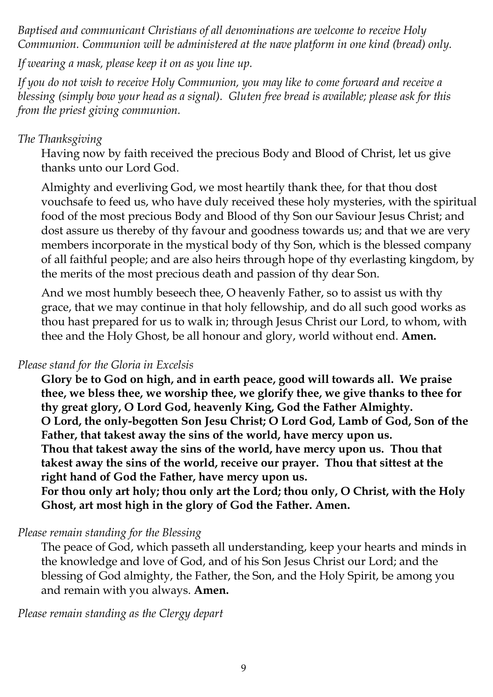*Baptised and communicant Christians of all denominations are welcome to receive Holy Communion. Communion will be administered at the nave platform in one kind (bread) only.*

*If wearing a mask, please keep it on as you line up.* 

*If you do not wish to receive Holy Communion, you may like to come forward and receive a blessing (simply bow your head as a signal). Gluten free bread is available; please ask for this from the priest giving communion.*

#### *The Thanksgiving*

Having now by faith received the precious Body and Blood of Christ, let us give thanks unto our Lord God.

Almighty and everliving God, we most heartily thank thee, for that thou dost vouchsafe to feed us, who have duly received these holy mysteries, with the spiritual food of the most precious Body and Blood of thy Son our Saviour Jesus Christ; and dost assure us thereby of thy favour and goodness towards us; and that we are very members incorporate in the mystical body of thy Son, which is the blessed company of all faithful people; and are also heirs through hope of thy everlasting kingdom, by the merits of the most precious death and passion of thy dear Son.

And we most humbly beseech thee, O heavenly Father, so to assist us with thy grace, that we may continue in that holy fellowship, and do all such good works as thou hast prepared for us to walk in; through Jesus Christ our Lord, to whom, with thee and the Holy Ghost, be all honour and glory, world without end. **Amen.**

#### *Please stand for the Gloria in Excelsis*

**Glory be to God on high, and in earth peace, good will towards all. We praise thee, we bless thee, we worship thee, we glorify thee, we give thanks to thee for thy great glory, O Lord God, heavenly King, God the Father Almighty. O Lord, the only-begotten Son Jesu Christ; O Lord God, Lamb of God, Son of the Father, that takest away the sins of the world, have mercy upon us. Thou that takest away the sins of the world, have mercy upon us. Thou that takest away the sins of the world, receive our prayer. Thou that sittest at the right hand of God the Father, have mercy upon us.** 

**For thou only art holy; thou only art the Lord; thou only, O Christ, with the Holy Ghost, art most high in the glory of God the Father. Amen.**

*Please remain standing for the Blessing*

The peace of God, which passeth all understanding, keep your hearts and minds in the knowledge and love of God, and of his Son Jesus Christ our Lord; and the blessing of God almighty, the Father, the Son, and the Holy Spirit, be among you and remain with you always. **Amen.**

*Please remain standing as the Clergy depart*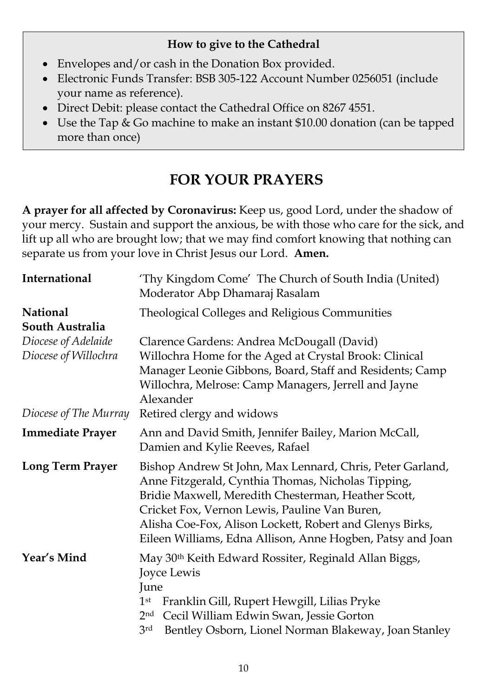#### **How to give to the Cathedral**

- Envelopes and/or cash in the Donation Box provided.
- Electronic Funds Transfer: BSB 305-122 Account Number 0256051 (include your name as reference).
- Direct Debit: please contact the Cathedral Office on 8267 4551.
- Use the Tap & Go machine to make an instant \$10.00 donation (can be tapped more than once)

# **FOR YOUR PRAYERS**

**A prayer for all affected by Coronavirus:** Keep us, good Lord, under the shadow of your mercy. Sustain and support the anxious, be with those who care for the sick, and lift up all who are brought low; that we may find comfort knowing that nothing can separate us from your love in Christ Jesus our Lord. **Amen.**

| International                               | 'Thy Kingdom Come' The Church of South India (United)<br>Moderator Abp Dhamaraj Rasalam                                                                                                                                                                                                                                                           |
|---------------------------------------------|---------------------------------------------------------------------------------------------------------------------------------------------------------------------------------------------------------------------------------------------------------------------------------------------------------------------------------------------------|
| <b>National</b><br>South Australia          | Theological Colleges and Religious Communities                                                                                                                                                                                                                                                                                                    |
| Diocese of Adelaide<br>Diocese of Willochra | Clarence Gardens: Andrea McDougall (David)<br>Willochra Home for the Aged at Crystal Brook: Clinical<br>Manager Leonie Gibbons, Board, Staff and Residents; Camp<br>Willochra, Melrose: Camp Managers, Jerrell and Jayne<br>Alexander                                                                                                             |
| Diocese of The Murray                       | Retired clergy and widows                                                                                                                                                                                                                                                                                                                         |
| <b>Immediate Prayer</b>                     | Ann and David Smith, Jennifer Bailey, Marion McCall,<br>Damien and Kylie Reeves, Rafael                                                                                                                                                                                                                                                           |
| <b>Long Term Prayer</b>                     | Bishop Andrew St John, Max Lennard, Chris, Peter Garland,<br>Anne Fitzgerald, Cynthia Thomas, Nicholas Tipping,<br>Bridie Maxwell, Meredith Chesterman, Heather Scott,<br>Cricket Fox, Vernon Lewis, Pauline Van Buren,<br>Alisha Coe-Fox, Alison Lockett, Robert and Glenys Birks,<br>Eileen Williams, Edna Allison, Anne Hogben, Patsy and Joan |
| Year's Mind                                 | May 30 <sup>th</sup> Keith Edward Rossiter, Reginald Allan Biggs,<br>Joyce Lewis<br>June<br>Franklin Gill, Rupert Hewgill, Lilias Pryke<br>$1^{\rm st}$<br>Cecil William Edwin Swan, Jessie Gorton<br>2 <sub>nd</sub><br>3rd<br>Bentley Osborn, Lionel Norman Blakeway, Joan Stanley                                                              |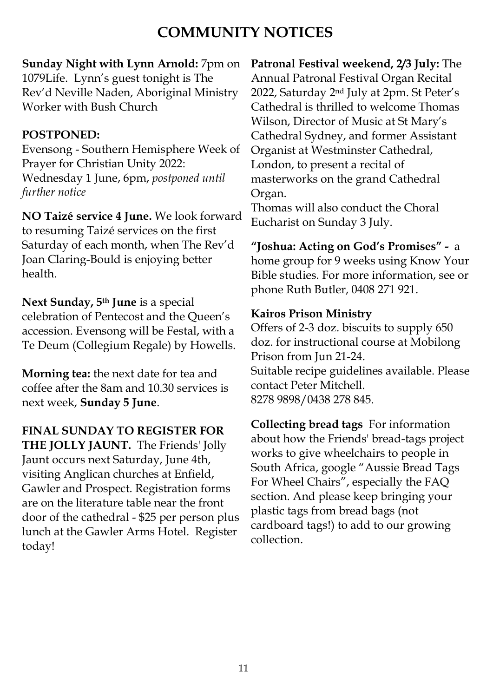# **COMMUNITY NOTICES**

# **Sunday Night with Lynn Arnold:** 7pm on

1079Life. Lynn's guest tonight is The Rev'd Neville Naden, Aboriginal Ministry Worker with Bush Church

#### **POSTPONED:**

Evensong - Southern Hemisphere Week of Prayer for Christian Unity 2022: Wednesday 1 June, 6pm, *postponed until further notice*

**NO Taizé service 4 June.** We look forward to resuming Taizé services on the first Saturday of each month, when The Rev'd Joan Claring-Bould is enjoying better health.

**Next Sunday, 5th June** is a special celebration of Pentecost and the Queen's accession. Evensong will be Festal, with a Te Deum (Collegium Regale) by Howells.

**Morning tea:** the next date for tea and coffee after the 8am and 10.30 services is next week, **Sunday 5 June**.

# **FINAL SUNDAY TO REGISTER FOR**

**THE JOLLY JAUNT.** The Friends' Jolly Jaunt occurs next Saturday, June 4th, visiting Anglican churches at Enfield, Gawler and Prospect. Registration forms are on the literature table near the front door of the cathedral - \$25 per person plus lunch at the Gawler Arms Hotel. Register today!

**Patronal Festival weekend, 2/3 July:** The Annual Patronal Festival Organ Recital 2022, Saturday 2nd July at 2pm. St Peter's Cathedral is thrilled to welcome Thomas Wilson, Director of Music at St Mary's Cathedral Sydney, and former Assistant Organist at Westminster Cathedral, London, to present a recital of masterworks on the grand Cathedral Organ.

Thomas will also conduct the Choral Eucharist on Sunday 3 July.

## **"Joshua: Acting on God's Promises" -** a

home group for 9 weeks using Know Your Bible studies. For more information, see or phone Ruth Butler, 0408 271 921.

#### **Kairos Prison Ministry**

Offers of 2-3 doz. biscuits to supply 650 doz. for instructional course at Mobilong Prison from Jun 21-24. Suitable recipe guidelines available. Please contact Peter Mitchell. 8278 9898/0438 278 845.

**Collecting bread tags** For information about how the Friends' bread-tags project works to give wheelchairs to people in South Africa, google "Aussie Bread Tags For Wheel Chairs", especially the FAQ section. And please keep bringing your plastic tags from bread bags (not cardboard tags!) to add to our growing collection.